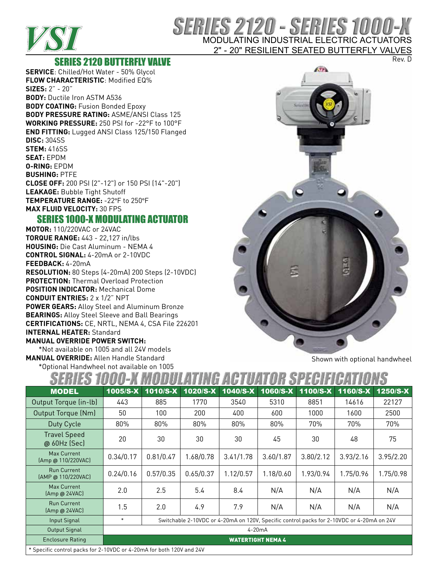

# SERIES 2120 - SERIES 1000-X MODULATING INDUSTRIAL ELECTRIC ACTUATORS

2" - 20" RESILIENT SEATED BUTTERFLY VALVES Rev. D

### SERIES 2120 BUTTERFLY VALVE

**SERVICE**: Chilled/Hot Water - 50% Glycol **FLOW CHARACTERISTIC**: Modified EQ% **SIZES:** 2" - 20" **BODY:** Ductile Iron ASTM A536 **BODY COATING:** Fusion Bonded Epoxy **BODY PRESSURE RATING:** ASME/ANSI Class 125 **WORKING PRESSURE:** 250 PSI for -22°F to 100°F **END FITTING:** Lugged ANSI Class 125/150 Flanged **DISC:** 304SS **STEM:** 416SS **SEAT:** EPDM **O-RING:** EPDM **BUSHING:** PTFE **CLOSE OFF:** 200 PSI (2"-12") or 150 PSI (14"-20") **LEAKAGE:** Bubble Tight Shutoff **TEMPERATURE RANGE:** -22°F to 250°F **MAX FLUID VELOCITY:** 30 FPS

## SERIES 1000-X MODULATING ACTUATOR

**MOTOR:** 110/220VAC or 24VAC **TORQUE RANGE:** 443 - 22,127 in/lbs **HOUSING:** Die Cast Aluminum - NEMA 4 **CONTROL SIGNAL:** 4-20mA or 2-10VDC **FEEDBACK:** 4-20mA **RESOLUTION:** 80 Steps (4-20mA) 200 Steps (2-10VDC) **PROTECTION:** Thermal Overload Protection **POSITION INDICATOR:** Mechanical Dome **CONDUIT ENTRIES:** 2 x 1/2" NPT **POWER GEARS:** Alloy Steel and Aluminum Bronze **BEARINGS:** Alloy Steel Sleeve and Ball Bearings **CERTIFICATIONS:** CE, NRTL, NEMA 4, CSA File 226201 **INTERNAL HEATER:** Standard **MANUAL OVERRIDE POWER SWITCH:**

\*Not available on 1005 and all 24V models **MANUAL OVERRIDE:** Allen Handle Standard \*Optional Handwheel not available on 1005



Shown with optional handwheel

| <b>MODEL</b>                                                         | 1005/S-X                                                                                            | 1010/S-X  | 1020/S-X  | 1040/S-X  | 1060/S-X  | 1100/S-X  | 1160/S-X  | 1250/S-X  |  |  |
|----------------------------------------------------------------------|-----------------------------------------------------------------------------------------------------|-----------|-----------|-----------|-----------|-----------|-----------|-----------|--|--|
| Output Torque (in-lb)                                                | 443                                                                                                 | 885       | 1770      | 3540      | 5310      | 8851      | 14616     | 22127     |  |  |
| Output Torque (Nm)                                                   | 50                                                                                                  | 100       | 200       | 400       | 600       | 1000      | 1600      | 2500      |  |  |
| Duty Cycle                                                           | 80%<br>80%<br>20<br>30                                                                              |           | 80%       | 80%       | 80%       | 70%<br>30 | 70%<br>48 | 70%       |  |  |
| <b>Travel Speed</b><br>@ 60Hz (Sec)                                  |                                                                                                     |           | 30        | 30        | 45        |           |           | 75        |  |  |
| <b>Max Current</b><br>(Amp @ 110/220VAC)                             | 0.34/0.17                                                                                           | 0.81/0.47 | 1.68/0.78 | 3.41/1.78 | 3.60/1.87 | 3.80/2.12 | 3.93/2.16 | 3.95/2.20 |  |  |
| <b>Run Current</b><br>[AMP @ 110/220VAC]                             | 0.24/0.16                                                                                           | 0.57/0.35 | 0.65/0.37 | 1.12/0.57 | 1.18/0.60 | 1.93/0.94 | 1.75/0.96 | 1.75/0.98 |  |  |
| Max Current<br>(Amp@24VAC)                                           | 2.0                                                                                                 | 2.5       | 5.4       | 8.4       | N/A       | N/A       | N/A       | N/A       |  |  |
| <b>Run Current</b><br>(Amp@24VAC)                                    | 1.5                                                                                                 | 2.0       | 4.9       | 7.9       | N/A       | N/A       | N/A       | N/A       |  |  |
| Input Signal                                                         | $\ast$<br>Switchable 2-10VDC or 4-20mA on 120V, Specific control packs for 2-10VDC or 4-20mA on 24V |           |           |           |           |           |           |           |  |  |
| Output Signal                                                        | $4-20mA$                                                                                            |           |           |           |           |           |           |           |  |  |
| <b>Enclosure Rating</b>                                              | <b>WATERTIGHT NEMA 4</b>                                                                            |           |           |           |           |           |           |           |  |  |
| * Specific control packs for 2-10VDC or 4-20mA for both 120V and 24V |                                                                                                     |           |           |           |           |           |           |           |  |  |